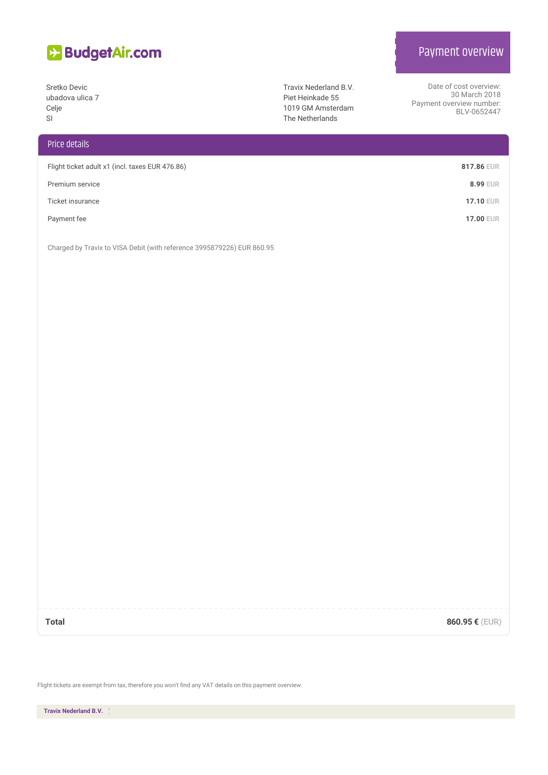

Sretko Devic ubadova ulica 7 Celje SI

## Price details

| Flight ticket adult x1 (incl. taxes EUR 476.86) | 817.86 EUR       |
|-------------------------------------------------|------------------|
| Premium service                                 | <b>8.99 EUR</b>  |
| Ticket insurance                                | <b>17.10 EUR</b> |
| Payment fee                                     | <b>17.00 EUR</b> |

Charged by Travix to VISA Debit (with reference 3995879226) EUR 860.95

**Total 860.95 € (EUR)**

Flight tickets are exempt from tax, therefore you won't find any VAT details on this payment overview.

**Travix Nederland B.V.**

## Payment overview

Date of cost overview: 30 March 2018

BLV-0652447

Payment overview number:

Travix Nederland B.V. Piet Heinkade 55 1019 GM Amsterdam The Netherlands